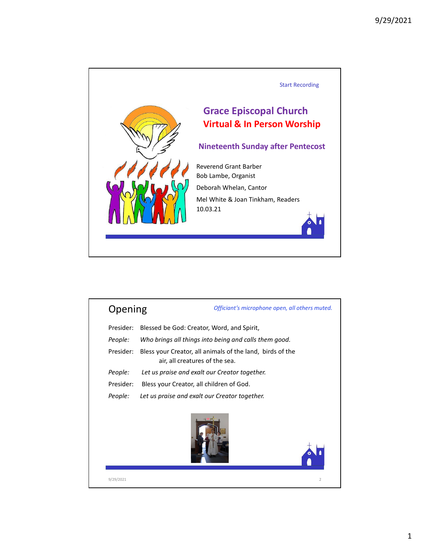

| Opening   | Officiant's microphone open, all others muted.                                              |  |
|-----------|---------------------------------------------------------------------------------------------|--|
| Presider: | Blessed be God: Creator, Word, and Spirit,                                                  |  |
| People:   | Who brings all things into being and calls them good.                                       |  |
| Presider: | Bless your Creator, all animals of the land, birds of the<br>air, all creatures of the sea. |  |
| People:   | Let us praise and exalt our Creator together.                                               |  |
| Presider: | Bless your Creator, all children of God.                                                    |  |
| People:   | Let us praise and exalt our Creator together.                                               |  |
|           |                                                                                             |  |
| 9/29/2021 |                                                                                             |  |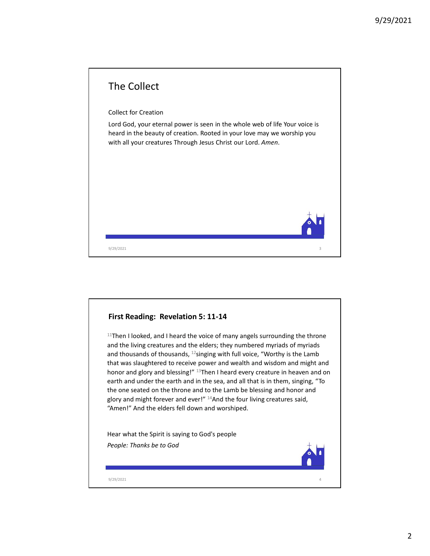

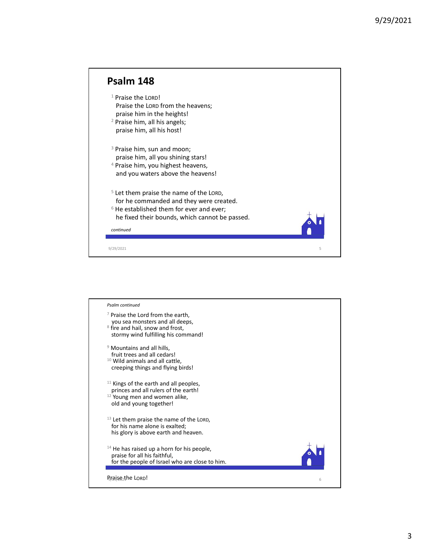

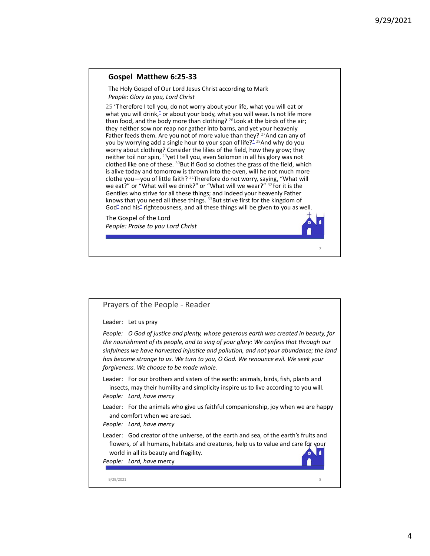7

## Gospel Matthew 6:25-33

The Holy Gospel of Our Lord Jesus Christ according to Mark People: Glory to you, Lord Christ

25 'Therefore I tell you, do not worry about your life, what you will eat or what you will drink,<sup>\*</sup> or about your body, what you will wear. Is not life more than food, and the body more than clothing?  $^{26}$  Look at the birds of the air; they neither sow nor reap nor gather into barns, and yet your heavenly Father feeds them. Are you not of more value than they? <sup>27</sup>And can any of you by worrying add a single hour to your span of life?<sup>\*</sup> <sup>28</sup>And why do you worry about clothing? Consider the lilies of the field, how they grow; they neither toil nor spin, 29yet I tell you, even Solomon in all his glory was not clothed like one of these.  $30$ But if God so clothes the grass of the field, which is alive today and tomorrow is thrown into the oven, will he not much more clothe you—you of little faith? 31Therefore do not worry, saying, "What will we eat?" or "What will we drink?" or "What will we wear?" <sup>32</sup>For it is the Gentiles who strive for all these things; and indeed your heavenly Father knows that you need all these things. <sup>33</sup>But strive first for the kingdom of God<sup>\*</sup> and his<sup>\*</sup> righteousness, and all these things will be given to you as well. The Prayers of the People - Reader<br>
Rather feeds them. Are you not of more value than they? <sup>22</sup> And can any of<br>
you by worrying add a single hour to your span of ite? <sup>22</sup> <sup>2</sup> And can any of<br>
you by worrying add a single

The Gospel of the Lord People: Praise to you Lord Christ

Leader: Let us pray

People: O God of justice and plenty, whose generous earth was created in beauty, for the nourishment of its people, and to sing of your glory: We confess that through our sinfulness we have harvested injustice and pollution, and not your abundance; the land has become strange to us. We turn to you, O God. We renounce evil. We seek your forgiveness. We choose to be made whole. The Cospier of the People - Reader<br>
People: Praise to you Lord Christ<br>
People: Praise to you Lord Christ<br>
Leader: Let us pray<br>
People: O God of justice and plenty, whose generous earth was created in beauty, for<br>
the nouri rayers of the People - Reader<br>ader:<br>text us pray<br>eraple: O God of justice and plenty, whose generous earth was created in beauty, for<br>enourishment of its people, and to sing of your glory. We confess that through our<br>fylln

Leader: For our brothers and sisters of the earth: animals, birds, fish, plants and insects, may their humility and simplicity inspire us to live according to you will.

- 
- Leader: For the animals who give us faithful companionship, joy when we are happy and comfort when we are sad.

People: Lord, have mercy

Leader: God creator of the universe, of the earth and sea, of the earth's fruits and flowers, of all humans, habitats and creatures, help us to value and care for your world in all its beauty and fragility.

People: Lord, have mercy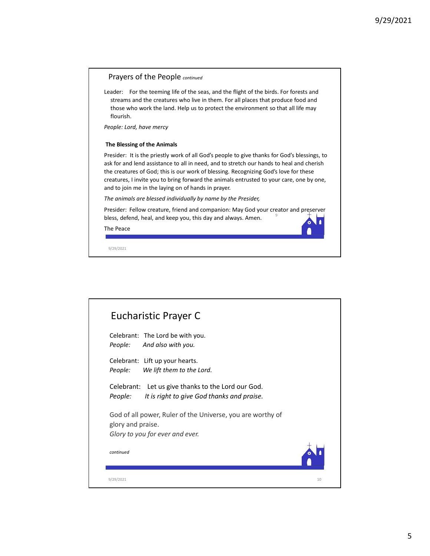

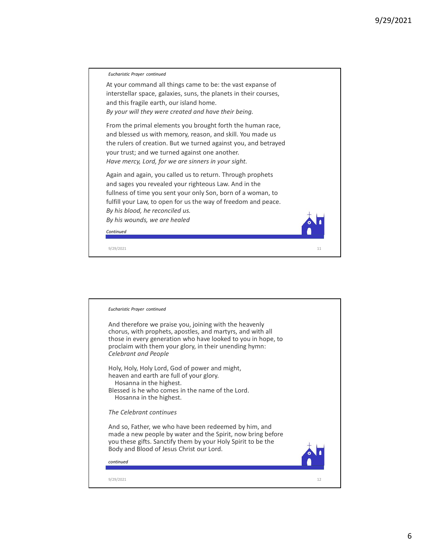

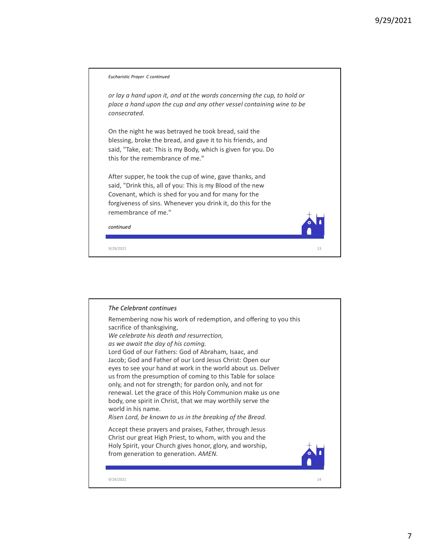

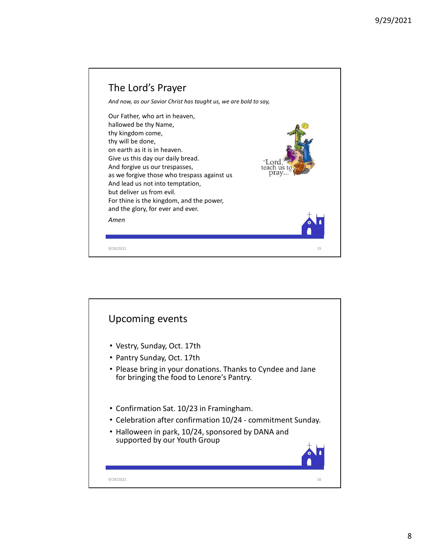